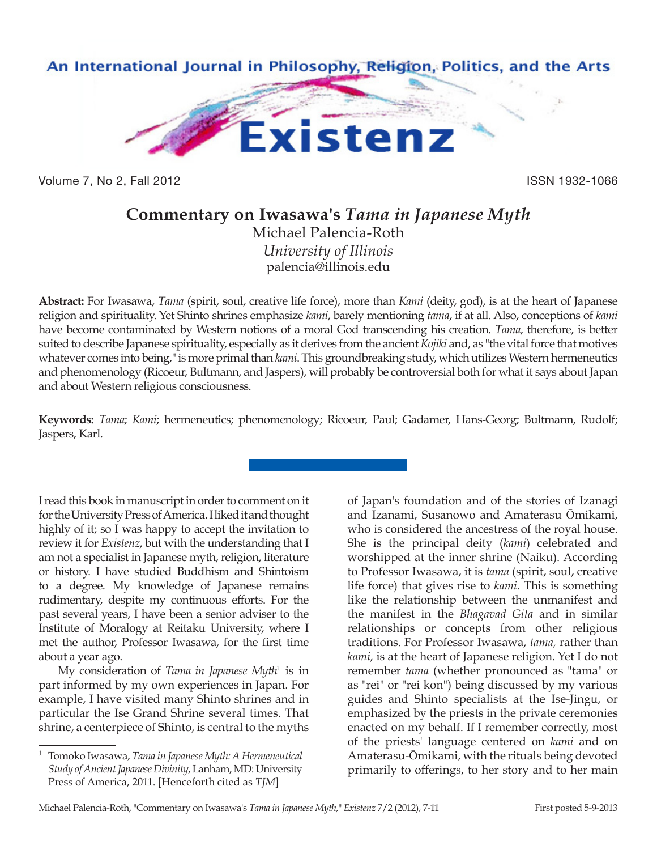

Volume 7, No 2, Fall 2012 **ISSN 1932-1066** 

## **Commentary on Iwasawa's** *Tama in Japanese Myth*

Michael Palencia-Roth *University of Illinois* palencia@illinois.edu

**Abstract:** For Iwasawa, *Tama* (spirit, soul, creative life force), more than *Kami* (deity, god), is at the heart of Japanese religion and spirituality. Yet Shinto shrines emphasize *kami*, barely mentioning *tama*, if at all. Also, conceptions of *kami* have become contaminated by Western notions of a moral God transcending his creation. *Tama*, therefore, is better suited to describe Japanese spirituality, especially as it derives from the ancient *Kojiki* and, as "the vital force that motives whatever comes into being," is more primal than *kami*. This groundbreaking study, which utilizes Western hermeneutics and phenomenology (Ricoeur, Bultmann, and Jaspers), will probably be controversial both for what it says about Japan and about Western religious consciousness.

**Keywords:** *Tama*; *Kami*; hermeneutics; phenomenology; Ricoeur, Paul; Gadamer, Hans-Georg; Bultmann, Rudolf; Jaspers, Karl.

I read this book in manuscript in order to comment on it for the University Press of America. I liked it and thought highly of it; so I was happy to accept the invitation to review it for *Existenz*, but with the understanding that I am not a specialist in Japanese myth, religion, literature or history. I have studied Buddhism and Shintoism to a degree. My knowledge of Japanese remains rudimentary, despite my continuous efforts. For the past several years, I have been a senior adviser to the Institute of Moralogy at Reitaku University, where I met the author, Professor Iwasawa, for the first time about a year ago.

My consideration of *Tama in Japanese Myth*<sup>1</sup> is in part informed by my own experiences in Japan. For example, I have visited many Shinto shrines and in particular the Ise Grand Shrine several times. That shrine, a centerpiece of Shinto, is central to the myths

of Japan's foundation and of the stories of Izanagi and Izanami, Susanowo and Amaterasu Ōmikami, who is considered the ancestress of the royal house. She is the principal deity (*kami*) celebrated and worshipped at the inner shrine (Naiku). According to Professor Iwasawa, it is *tama* (spirit, soul, creative life force) that gives rise to *kami.* This is something like the relationship between the unmanifest and the manifest in the *Bhagavad Gita* and in similar relationships or concepts from other religious traditions. For Professor Iwasawa, *tama,* rather than *kami,* is at the heart of Japanese religion. Yet I do not remember *tama* (whether pronounced as "tama" or as "rei" or "rei kon") being discussed by my various guides and Shinto specialists at the Ise-Jingu, or emphasized by the priests in the private ceremonies enacted on my behalf. If I remember correctly, most of the priests' language centered on *kami* and on Amaterasu-Ōmikami, with the rituals being devoted primarily to offerings, to her story and to her main

<sup>1</sup> Tomoko Iwasawa, *Tama in Japanese Myth: A Hermeneutical Study of Ancient Japanese Divinity*, Lanham, MD: University Press of America, 2011. [Henceforth cited as *TJM*]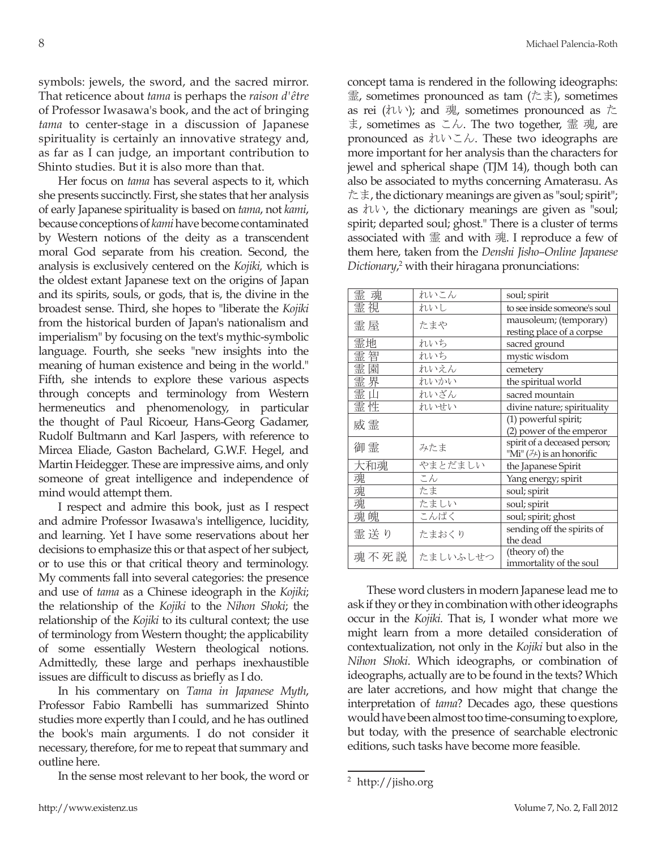symbols: jewels, the sword, and the sacred mirror. That reticence about *tama* is perhaps the *raison d'être* of Professor Iwasawa's book, and the act of bringing *tama* to center-stage in a discussion of Japanese spirituality is certainly an innovative strategy and, as far as I can judge, an important contribution to Shinto studies. But it is also more than that.

Her focus on *tama* has several aspects to it, which she presents succinctly. First, she states that her analysis of early Japanese spirituality is based on *tama*, not *kami*, because conceptions of *kami* have become contaminated by Western notions of the deity as a transcendent moral God separate from his creation. Second, the analysis is exclusively centered on the *Kojiki,* which is the oldest extant Japanese text on the origins of Japan and its spirits, souls, or gods, that is, the divine in the broadest sense. Third, she hopes to "liberate the *Kojiki* from the historical burden of Japan's nationalism and imperialism" by focusing on the text's mythic-symbolic language. Fourth, she seeks "new insights into the meaning of human existence and being in the world." Fifth, she intends to explore these various aspects through concepts and terminology from Western hermeneutics and phenomenology, in particular the thought of Paul Ricoeur, Hans-Georg Gadamer, Rudolf Bultmann and Karl Jaspers, with reference to Mircea Eliade, Gaston Bachelard, G.W.F. Hegel, and Martin Heidegger. These are impressive aims, and only someone of great intelligence and independence of mind would attempt them.

I respect and admire this book, just as I respect and admire Professor Iwasawa's intelligence, lucidity, and learning. Yet I have some reservations about her decisions to emphasize this or that aspect of her subject, or to use this or that critical theory and terminology. My comments fall into several categories: the presence and use of *tama* as a Chinese ideograph in the *Kojiki*; the relationship of the *Kojiki* to the *Nihon Shoki*; the relationship of the *Kojiki* to its cultural context; the use of terminology from Western thought; the applicability of some essentially Western theological notions. Admittedly, these large and perhaps inexhaustible issues are difficult to discuss as briefly as I do.

In his commentary on *Tama in Japanese Myth*, Professor Fabio Rambelli has summarized Shinto studies more expertly than I could, and he has outlined the book's main arguments. I do not consider it necessary, therefore, for me to repeat that summary and outline here.

In the sense most relevant to her book, the word or

concept tama is rendered in the following ideographs: 霊, sometimes pronounced as tam (たま), sometimes as rei (れい); and 魂, sometimes pronounced as た ま, sometimes as こん. The two together, 霊 魂, are pronounced as  $\hbar$   $\vee$   $\in$   $\hbar$ . These two ideographs are more important for her analysis than the characters for jewel and spherical shape (TJM 14), though both can also be associated to myths concerning Amaterasu. As たま, the dictionary meanings are given as "soul; spirit"; as  $\mathcal{X} \cup \mathcal{Y}$ , the dictionary meanings are given as "soul; spirit; departed soul; ghost." There is a cluster of terms associated with 霊 and with 魂. I reproduce a few of them here, taken from the *Denshi Jisho–Online Japanese*  Dictionary,<sup>2</sup> with their hiragana pronunciations:

| 霊 魂 | れいこん          | soul; spirit                                        |
|-----|---------------|-----------------------------------------------------|
| 霊 視 | れいし           | to see inside someone's soul                        |
| 霊 屋 | たまや           | mausoleum; (temporary)<br>resting place of a corpse |
| 需地  | れいち           | sacred ground                                       |
| 霊智  | れいち           | mystic wisdom                                       |
| 霊 園 | れいえん          | cemetery                                            |
| 霊界  | れいかい          | the spiritual world                                 |
| 霊 山 | れいざん          | sacred mountain                                     |
| 霊 性 | れいせい          | divine nature; spirituality                         |
| 威霊  |               | (1) powerful spirit;                                |
|     |               | (2) power of the emperor                            |
| 御霊  | みたま           | spirit of a deceased person;                        |
|     |               | "Mi" $(\nexists)$ is an honorific                   |
| 大和魂 | やまとだましい       | the Japanese Spirit                                 |
| 魂   | こん            | Yang energy; spirit                                 |
| 魂   | たま            | soul; spirit                                        |
| 魂   | たましい          | soul; spirit                                        |
| 魂魄  | こんぱく          | soul; spirit; ghost                                 |
| 霊送り | たまおくり         | sending off the spirits of                          |
|     |               | the dead                                            |
|     | 魂不死説 たましいふしせつ | (theory of) the                                     |
|     |               | immortality of the soul                             |

These word clusters in modern Japanese lead me to ask if they or they in combination with other ideographs occur in the *Kojiki.* That is, I wonder what more we might learn from a more detailed consideration of contextualization, not only in the *Kojiki* but also in the *Nihon Shoki*. Which ideographs, or combination of ideographs, actually are to be found in the texts? Which are later accretions, and how might that change the interpretation of *tama*? Decades ago, these questions would have been almost too time-consuming to explore, but today, with the presence of searchable electronic editions, such tasks have become more feasible.

<sup>2</sup> http://jisho.org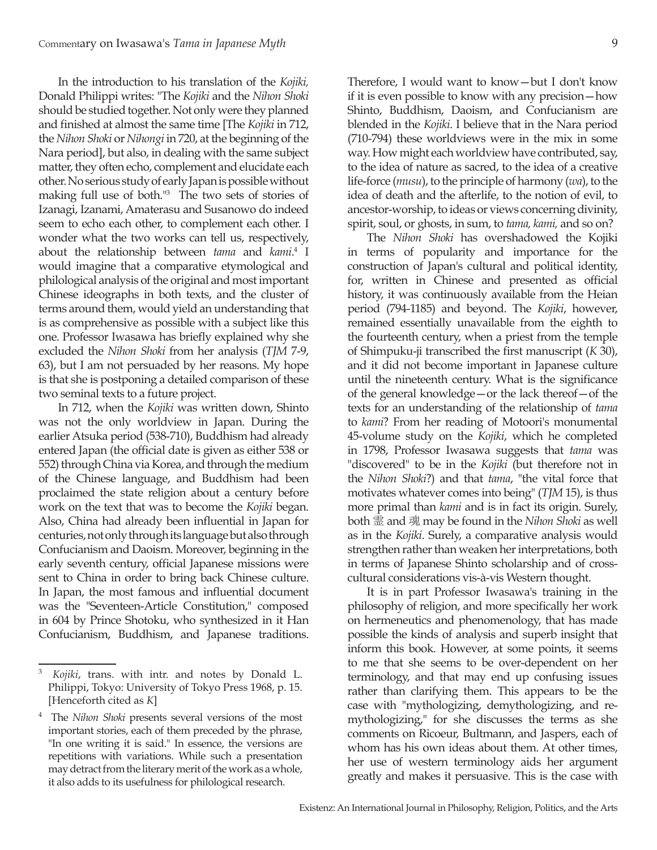In the introduction to his translation of the *Kojiki,*  Donald Philippi writes: "The *Kojiki* and the *Nihon Shoki* should be studied together. Not only were they planned and finished at almost the same time [The *Kojiki* in 712, the *Nihon Shoki* or *Nihongi* in 720, at the beginning of the Nara period], but also, in dealing with the same subject matter, they often echo, complement and elucidate each other. No serious study of early Japan is possible without making full use of both."3 The two sets of stories of Izanagi, Izanami, Amaterasu and Susanowo do indeed seem to echo each other, to complement each other. I wonder what the two works can tell us, respectively, about the relationship between *tama* and *kami*. <sup>4</sup> I would imagine that a comparative etymological and philological analysis of the original and most important Chinese ideographs in both texts, and the cluster of terms around them, would yield an understanding that is as comprehensive as possible with a subject like this one. Professor Iwasawa has briefly explained why she excluded the *Nihon Shoki* from her analysis (*TJM* 7-9, 63), but I am not persuaded by her reasons. My hope is that she is postponing a detailed comparison of these two seminal texts to a future project.

In 712, when the *Kojiki* was written down, Shinto was not the only worldview in Japan. During the earlier Atsuka period (538-710), Buddhism had already entered Japan (the official date is given as either 538 or 552) through China via Korea, and through the medium of the Chinese language, and Buddhism had been proclaimed the state religion about a century before work on the text that was to become the *Kojiki* began. Also, China had already been influential in Japan for centuries, not only through its language but also through Confucianism and Daoism. Moreover, beginning in the early seventh century, official Japanese missions were sent to China in order to bring back Chinese culture. In Japan, the most famous and influential document was the "Seventeen-Article Constitution," composed in 604 by Prince Shotoku, who synthesized in it Han Confucianism, Buddhism, and Japanese traditions.

Therefore, I would want to know—but I don't know if it is even possible to know with any precision—how Shinto, Buddhism, Daoism, and Confucianism are blended in the *Kojiki*. I believe that in the Nara period (710-794) these worldviews were in the mix in some way. How might each worldview have contributed, say, to the idea of nature as sacred, to the idea of a creative life-force (*musu*), to the principle of harmony (*wa*), to the idea of death and the afterlife, to the notion of evil, to ancestor-worship, to ideas or views concerning divinity, spirit, soul, or ghosts, in sum, to *tama, kami,* and so on?

The *Nihon Shoki* has overshadowed the Kojiki in terms of popularity and importance for the construction of Japan's cultural and political identity, for, written in Chinese and presented as official history, it was continuously available from the Heian period (794-1185) and beyond. The *Kojiki*, however, remained essentially unavailable from the eighth to the fourteenth century, when a priest from the temple of Shimpuku-ji transcribed the first manuscript (*K* 30), and it did not become important in Japanese culture until the nineteenth century. What is the significance of the general knowledge—or the lack thereof—of the texts for an understanding of the relationship of *tama* to *kami*? From her reading of Motoori's monumental 45-volume study on the *Kojiki*, which he completed in 1798, Professor Iwasawa suggests that *tama* was "discovered" to be in the *Kojiki* (but therefore not in the *Nihon Shoki*?) and that *tama*, "the vital force that motivates whatever comes into being" (*TJM* 15), is thus more primal than *kami* and is in fact its origin. Surely, both 霊 and 魂 may be found in the *Nihon Shoki* as well as in the *Kojiki*. Surely, a comparative analysis would strengthen rather than weaken her interpretations, both in terms of Japanese Shinto scholarship and of crosscultural considerations vis-à-vis Western thought.

It is in part Professor Iwasawa's training in the philosophy of religion, and more specifically her work on hermeneutics and phenomenology, that has made possible the kinds of analysis and superb insight that inform this book. However, at some points, it seems to me that she seems to be over-dependent on her terminology, and that may end up confusing issues rather than clarifying them. This appears to be the case with "mythologizing, demythologizing, and remythologizing," for she discusses the terms as she comments on Ricoeur, Bultmann, and Jaspers, each of whom has his own ideas about them. At other times, her use of western terminology aids her argument greatly and makes it persuasive. This is the case with

<sup>3</sup> *Kojiki*, trans. with intr. and notes by Donald L. Philippi, Tokyo: University of Tokyo Press 1968, p. 15. [Henceforth cited as *K*]

<sup>4</sup> The *Nihon Shoki* presents several versions of the most important stories, each of them preceded by the phrase, "In one writing it is said." In essence, the versions are repetitions with variations. While such a presentation may detract from the literary merit of the work as a whole, it also adds to its usefulness for philological research.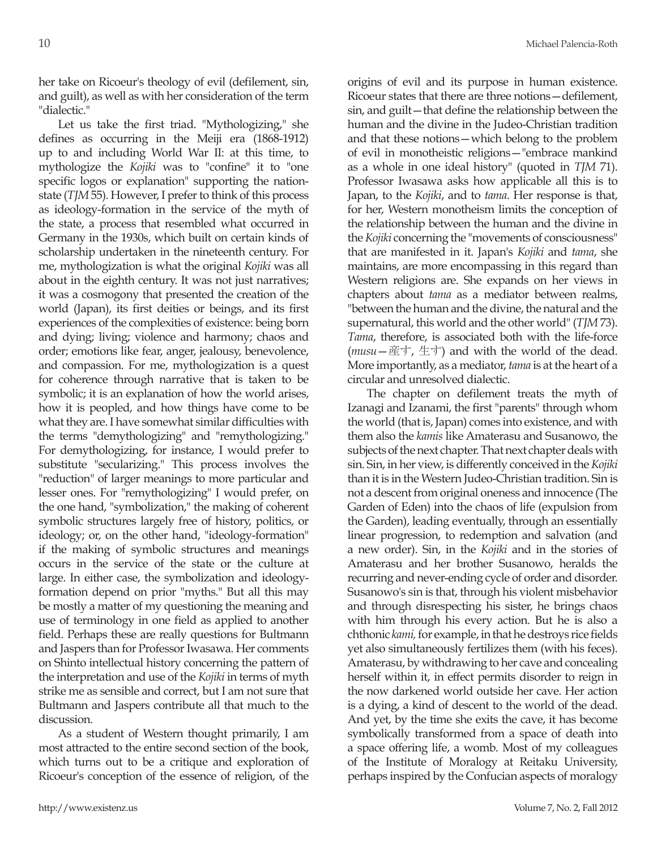her take on Ricoeur's theology of evil (defilement, sin, and guilt), as well as with her consideration of the term "dialectic."

Let us take the first triad. "Mythologizing," she defines as occurring in the Meiji era (1868-1912) up to and including World War II: at this time, to mythologize the *Kojiki* was to "confine" it to "one specific logos or explanation" supporting the nationstate (*TJM* 55). However, I prefer to think of this process as ideology-formation in the service of the myth of the state, a process that resembled what occurred in Germany in the 1930s, which built on certain kinds of scholarship undertaken in the nineteenth century. For me, mythologization is what the original *Kojiki* was all about in the eighth century. It was not just narratives; it was a cosmogony that presented the creation of the world (Japan), its first deities or beings, and its first experiences of the complexities of existence: being born and dying; living; violence and harmony; chaos and order; emotions like fear, anger, jealousy, benevolence, and compassion. For me, mythologization is a quest for coherence through narrative that is taken to be symbolic; it is an explanation of how the world arises, how it is peopled, and how things have come to be what they are. I have somewhat similar difficulties with the terms "demythologizing" and "remythologizing." For demythologizing, for instance, I would prefer to substitute "secularizing." This process involves the "reduction" of larger meanings to more particular and lesser ones. For "remythologizing" I would prefer, on the one hand, "symbolization," the making of coherent symbolic structures largely free of history, politics, or ideology; or, on the other hand, "ideology-formation" if the making of symbolic structures and meanings occurs in the service of the state or the culture at large. In either case, the symbolization and ideologyformation depend on prior "myths." But all this may be mostly a matter of my questioning the meaning and use of terminology in one field as applied to another field. Perhaps these are really questions for Bultmann and Jaspers than for Professor Iwasawa. Her comments on Shinto intellectual history concerning the pattern of the interpretation and use of the *Kojiki* in terms of myth strike me as sensible and correct, but I am not sure that Bultmann and Jaspers contribute all that much to the discussion.

As a student of Western thought primarily, I am most attracted to the entire second section of the book, which turns out to be a critique and exploration of Ricoeur's conception of the essence of religion, of the origins of evil and its purpose in human existence. Ricoeur states that there are three notions—defilement, sin, and guilt—that define the relationship between the human and the divine in the Judeo-Christian tradition and that these notions—which belong to the problem of evil in monotheistic religions—"embrace mankind as a whole in one ideal history" (quoted in *TJM* 71). Professor Iwasawa asks how applicable all this is to Japan, to the *Kojiki*, and to *tama*. Her response is that, for her, Western monotheism limits the conception of the relationship between the human and the divine in the *Kojiki* concerning the "movements of consciousness" that are manifested in it. Japan's *Kojiki* and *tama*, she maintains, are more encompassing in this regard than Western religions are. She expands on her views in chapters about *tama* as a mediator between realms, "between the human and the divine, the natural and the supernatural, this world and the other world" (*TJM* 73). *Tama*, therefore, is associated both with the life-force (*musu*—産す, 生す) and with the world of the dead. More importantly, as a mediator, *tama* is at the heart of a circular and unresolved dialectic.

The chapter on defilement treats the myth of Izanagi and Izanami, the first "parents" through whom the world (that is, Japan) comes into existence, and with them also the *kamis* like Amaterasu and Susanowo, the subjects of the next chapter. That next chapter deals with sin. Sin, in her view, is differently conceived in the *Kojiki* than it is in the Western Judeo-Christian tradition. Sin is not a descent from original oneness and innocence (The Garden of Eden) into the chaos of life (expulsion from the Garden), leading eventually, through an essentially linear progression, to redemption and salvation (and a new order). Sin, in the *Kojiki* and in the stories of Amaterasu and her brother Susanowo, heralds the recurring and never-ending cycle of order and disorder. Susanowo's sin is that, through his violent misbehavior and through disrespecting his sister, he brings chaos with him through his every action. But he is also a chthonic *kami,* for example, in that he destroys rice fields yet also simultaneously fertilizes them (with his feces). Amaterasu, by withdrawing to her cave and concealing herself within it, in effect permits disorder to reign in the now darkened world outside her cave. Her action is a dying, a kind of descent to the world of the dead. And yet, by the time she exits the cave, it has become symbolically transformed from a space of death into a space offering life, a womb. Most of my colleagues of the Institute of Moralogy at Reitaku University, perhaps inspired by the Confucian aspects of moralogy